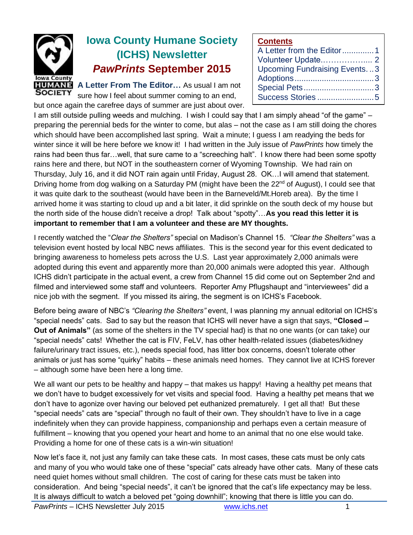

# **Iowa County Humane Society (ICHS) Newsletter** *PawPrints* **September 2015**

**A Letter From The Editor…** As usual I am not sure how I feel about summer coming to an end,

but once again the carefree days of summer are just about over. I am still outside pulling weeds and mulching. I wish I could say that I am simply ahead "of the game" – preparing the perennial beds for the winter to come, but alas – not the case as I am still doing the chores which should have been accomplished last spring. Wait a minute; I guess I am readying the beds for winter since it will be here before we know it! I had written in the July issue of *PawPrints* how timely the rains had been thus far…well, that sure came to a "screeching halt". I know there had been some spotty rains here and there, but NOT in the southeastern corner of Wyoming Township. We had rain on Thursday, July 16, and it did NOT rain again until Friday, August 28. OK…I will amend that statement. Driving home from dog walking on a Saturday PM (might have been the 22<sup>nd</sup> of August), I could see that it was quite dark to the southeast (would have been in the Barneveld/Mt.Horeb area). By the time I Success Stories .........................5

**Contents**

A Letter from the Editor..............1 Volunteer Update.…………….... 2 Upcoming Fundraising Events. ..3 Adoptions...................................3 Special Pets...............................3

arrived home it was starting to cloud up and a bit later, it did sprinkle on the south deck of my house but the north side of the house didn't receive a drop! Talk about "spotty"…**As you read this letter it is important to remember that I am a volunteer and these are MY thoughts.**

I recently watched the "*Clear the Shelters"* special on Madison's Channel 15. *"Clear the Shelters"* was a television event hosted by local NBC news affiliates. This is the second year for this event dedicated to bringing awareness to homeless pets across the U.S. Last year approximately 2,000 animals were adopted during this event and apparently more than 20,000 animals were adopted this year. Although ICHS didn't participate in the actual event, a crew from Channel 15 did come out on September 2nd and filmed and interviewed some staff and volunteers. Reporter Amy Pflugshaupt and "interviewees" did a nice job with the segment. If you missed its airing, the segment is on ICHS's Facebook.

Before being aware of NBC's *"Clearing the Shelters"* event, I was planning my annual editorial on ICHS's "special needs" cats. Sad to say but the reason that ICHS will never have a sign that says, **"Closed – Out of Animals"** (as some of the shelters in the TV special had) is that no one wants (or can take) our "special needs" cats! Whether the cat is FIV, FeLV, has other health-related issues (diabetes/kidney failure/urinary tract issues, etc.), needs special food, has litter box concerns, doesn't tolerate other animals or just has some "quirky" habits – these animals need homes. They cannot live at ICHS forever – although some have been here a long time.

We all want our pets to be healthy and happy – that makes us happy! Having a healthy pet means that we don't have to budget excessively for vet visits and special food. Having a healthy pet means that we don't have to agonize over having our beloved pet euthanized prematurely. I get all that! But these "special needs" cats are "special" through no fault of their own. They shouldn't have to live in a cage indefinitely when they can provide happiness, companionship and perhaps even a certain measure of fulfillment – knowing that you opened your heart and home to an animal that no one else would take. Providing a home for one of these cats is a win-win situation!

Now let's face it, not just any family can take these cats. In most cases, these cats must be only cats and many of you who would take one of these "special" cats already have other cats. Many of these cats need quiet homes without small children. The cost of caring for these cats must be taken into consideration. And being "special needs", it can't be ignored that the cat's life expectancy may be less. It is always difficult to watch a beloved pet "going downhill"; knowing that there is little you can do.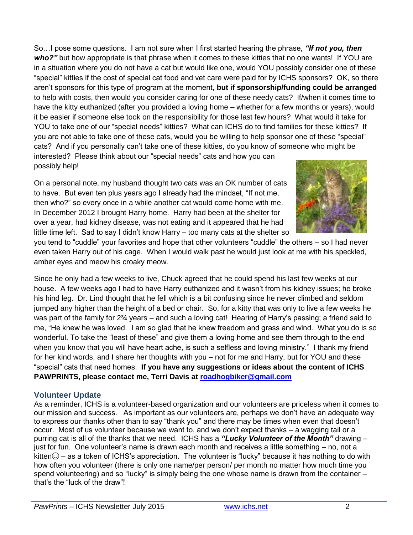So…I pose some questions. I am not sure when I first started hearing the phrase, *"If not you, then who?"* but how appropriate is that phrase when it comes to these kitties that no one wants! If YOU are in a situation where you do not have a cat but would like one, would YOU possibly consider one of these "special" kitties if the cost of special cat food and vet care were paid for by ICHS sponsors? OK, so there aren't sponsors for this type of program at the moment, **but if sponsorship/funding could be arranged** to help with costs, then would you consider caring for one of these needy cats? If/when it comes time to have the kitty euthanized (after you provided a loving home – whether for a few months or years), would it be easier if someone else took on the responsibility for those last few hours? What would it take for YOU to take one of our "special needs" kitties? What can ICHS do to find families for these kitties? If you are not able to take one of these cats, would you be willing to help sponsor one of these "special" cats? And if you personally can't take one of these kitties, do you know of someone who might be interested? Please think about our "special needs" cats and how you can possibly help!

On a personal note, my husband thought two cats was an OK number of cats to have. But even ten plus years ago I already had the mindset, "If not me, then who?" so every once in a while another cat would come home with me. In December 2012 I brought Harry home. Harry had been at the shelter for over a year, had kidney disease, was not eating and it appeared that he had little time left. Sad to say I didn't know Harry – too many cats at the shelter so



you tend to "cuddle" your favorites and hope that other volunteers "cuddle" the others – so I had never even taken Harry out of his cage. When I would walk past he would just look at me with his speckled, amber eyes and meow his croaky meow.

Since he only had a few weeks to live, Chuck agreed that he could spend his last few weeks at our house. A few weeks ago I had to have Harry euthanized and it wasn't from his kidney issues; he broke his hind leg. Dr. Lind thought that he fell which is a bit confusing since he never climbed and seldom jumped any higher than the height of a bed or chair. So, for a kitty that was only to live a few weeks he was part of the family for 2<sup>3</sup>/<sub>4</sub> years – and such a loving cat! Hearing of Harry's passing; a friend said to me, "He knew he was loved. I am so glad that he knew freedom and grass and wind. What you do is so wonderful. To take the "least of these" and give them a loving home and see them through to the end when you know that you will have heart ache, is such a selfless and loving ministry." I thank my friend for her kind words, and I share her thoughts with you – not for me and Harry, but for YOU and these "special" cats that need homes. **If you have any suggestions or ideas about the content of ICHS PAWPRINTS, please contact me, Terri Davis at [roadhogbiker@gmail.com](mailto:roadhogbiker@gmail.com)**

#### **Volunteer Update**

As a reminder, ICHS is a volunteer-based organization and our volunteers are priceless when it comes to our mission and success. As important as our volunteers are, perhaps we don't have an adequate way to express our thanks other than to say "thank you" and there may be times when even that doesn't occur. Most of us volunteer because we want to, and we don't expect thanks – a wagging tail or a purring cat is all of the thanks that we need. ICHS has a *"Lucky Volunteer of the Month"* drawing – just for fun. One volunteer's name is drawn each month and receives a little something – no, not a kitten $\odot$  – as a token of ICHS's appreciation. The volunteer is "lucky" because it has nothing to do with how often you volunteer (there is only one name/per person/ per month no matter how much time you spend volunteering) and so "lucky" is simply being the one whose name is drawn from the container – that's the "luck of the draw"!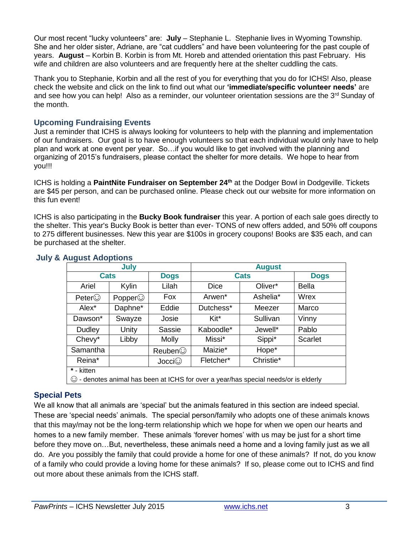Our most recent "lucky volunteers" are: **July** – Stephanie L. Stephanie lives in Wyoming Township. She and her older sister, Adriane, are "cat cuddlers" and have been volunteering for the past couple of years. **August** – Korbin B. Korbin is from Mt. Horeb and attended orientation this past February. His wife and children are also volunteers and are frequently here at the shelter cuddling the cats.

Thank you to Stephanie, Korbin and all the rest of you for everything that you do for ICHS! Also, please check the website and click on the link to find out what our **'immediate/specific volunteer needs'** are and see how you can help! Also as a reminder, our volunteer orientation sessions are the 3<sup>rd</sup> Sunday of the month.

#### **Upcoming Fundraising Events**

Just a reminder that ICHS is always looking for volunteers to help with the planning and implementation of our fundraisers. Our goal is to have enough volunteers so that each individual would only have to help plan and work at one event per year. So…if you would like to get involved with the planning and organizing of 2015's fundraisers, please contact the shelter for more details. We hope to hear from you!!!

ICHS is holding a **PaintNite Fundraiser on September 24th** at the Dodger Bowl in Dodgeville. Tickets are \$45 per person, and can be purchased online. Please check out our website for more information on this fun event!

ICHS is also participating in the **Bucky Book fundraiser** this year. A portion of each sale goes directly to the shelter. This year's Bucky Book is better than ever- TONS of new offers added, and 50% off coupons to 275 different businesses. New this year are \$100s in grocery coupons! Books are \$35 each, and can be purchased at the shelter.

| July                                                                                      |                |              | <b>August</b>      |           |             |
|-------------------------------------------------------------------------------------------|----------------|--------------|--------------------|-----------|-------------|
| <b>Cats</b>                                                                               |                | <b>Dogs</b>  | <b>Cats</b>        |           | <b>Dogs</b> |
| Ariel                                                                                     | Kylin          | Lilah        | <b>Dice</b>        | Oliver*   | Bella       |
| Peter                                                                                     | Popper $\odot$ | Fox          | Arwen <sup>*</sup> | Ashelia*  | Wrex        |
| Alex <sup>*</sup>                                                                         | Daphne*        | Eddie        | Dutchess*          | Meezer    | Marco       |
| Dawson*                                                                                   | Swayze         | Josie        | Kit*               | Sullivan  | Vinny       |
| Dudley                                                                                    | Unity          | Sassie       | Kaboodle*          | Jewell*   | Pablo       |
| Chevy*                                                                                    | Libby          | <b>Molly</b> | Missi*             | Sippi*    | Scarlet     |
| Samantha                                                                                  |                | Reuben       | Maizie*            | Hope*     |             |
| Reina*                                                                                    |                | Jocci        | Fletcher*          | Christie* |             |
| * - kitten                                                                                |                |              |                    |           |             |
| $\odot$ - denotes animal has been at ICHS for over a year/has special needs/or is elderly |                |              |                    |           |             |

#### **July & August Adoptions**

# **Special Pets**

We all know that all animals are 'special' but the animals featured in this section are indeed special. These are 'special needs' animals. The special person/family who adopts one of these animals knows that this may/may not be the long-term relationship which we hope for when we open our hearts and homes to a new family member. These animals 'forever homes' with us may be just for a short time before they move on…But, nevertheless, these animals need a home and a loving family just as we all do. Are you possibly the family that could provide a home for one of these animals? If not, do you know of a family who could provide a loving home for these animals? If so, please come out to ICHS and find out more about these animals from the ICHS staff.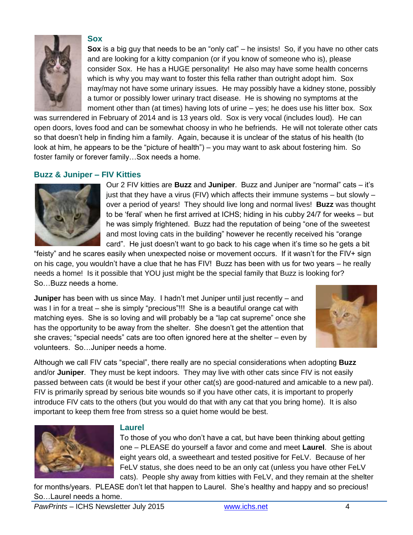

#### **Sox**

**Sox** is a big guy that needs to be an "only cat" – he insists! So, if you have no other cats and are looking for a kitty companion (or if you know of someone who is), please consider Sox. He has a HUGE personality! He also may have some health concerns which is why you may want to foster this fella rather than outright adopt him. Sox may/may not have some urinary issues. He may possibly have a kidney stone, possibly a tumor or possibly lower urinary tract disease. He is showing no symptoms at the moment other than (at times) having lots of urine – yes; he does use his litter box. Sox

was surrendered in February of 2014 and is 13 years old. Sox is very vocal (includes loud). He can open doors, loves food and can be somewhat choosy in who he befriends. He will not tolerate other cats so that doesn't help in finding him a family. Again, because it is unclear of the status of his health (to look at him, he appears to be the "picture of health") – you may want to ask about fostering him. So foster family or forever family…Sox needs a home.

#### **Buzz & Juniper – FIV Kitties**



Our 2 FIV kitties are **Buzz** and **Juniper**. Buzz and Juniper are "normal" cats – it's just that they have a virus (FIV) which affects their immune systems – but slowly – over a period of years! They should live long and normal lives! **Buzz** was thought to be 'feral' when he first arrived at ICHS; hiding in his cubby 24/7 for weeks – but he was simply frightened. Buzz had the reputation of being "one of the sweetest and most loving cats in the building" however he recently received his "orange card". He just doesn't want to go back to his cage when it's time so he gets a bit

"feisty" and he scares easily when unexpected noise or movement occurs. If it wasn't for the FIV+ sign on his cage, you wouldn't have a clue that he has FIV! Buzz has been with us for two years – he really needs a home! Is it possible that YOU just might be the special family that Buzz is looking for? So…Buzz needs a home.

**Juniper** has been with us since May. I hadn't met Juniper until just recently – and was I in for a treat – she is simply "precious"!!! She is a beautiful orange cat with matching eyes. She is so loving and will probably be a "lap cat supreme" once she has the opportunity to be away from the shelter. She doesn't get the attention that she craves; "special needs" cats are too often ignored here at the shelter – even by volunteers. So…Juniper needs a home.



Although we call FIV cats "special", there really are no special considerations when adopting **Buzz** and/or **Juniper**. They must be kept indoors. They may live with other cats since FIV is not easily passed between cats (it would be best if your other cat(s) are good-natured and amicable to a new pal). FIV is primarily spread by serious bite wounds so if you have other cats, it is important to properly introduce FIV cats to the others (but you would do that with any cat that you bring home). It is also important to keep them free from stress so a quiet home would be best.



#### **Laurel**

To those of you who don't have a cat, but have been thinking about getting one – PLEASE do yourself a favor and come and meet **Laurel**. She is about eight years old, a sweetheart and tested positive for FeLV. Because of her FeLV status, she does need to be an only cat (unless you have other FeLV cats). People shy away from kitties with FeLV, and they remain at the shelter

for months/years. PLEASE don't let that happen to Laurel. She's healthy and happy and so precious! So…Laurel needs a home.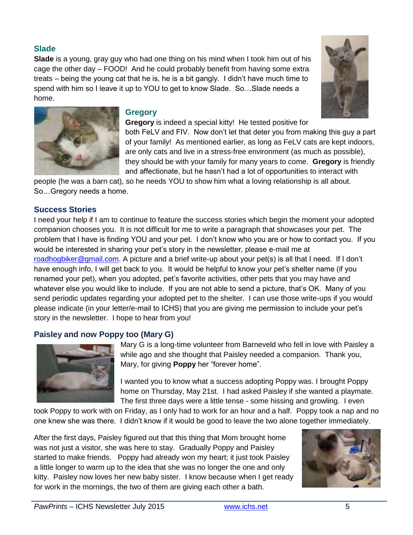# **Slade**

**Slade** is a young, gray guy who had one thing on his mind when I took him out of his cage the other day – FOOD! And he could probably benefit from having some extra treats – being the young cat that he is, he is a bit gangly. I didn't have much time to spend with him so I leave it up to YOU to get to know Slade. So…Slade needs a home.





#### **Gregory**

**Gregory** is indeed a special kitty! He tested positive for

both FeLV and FIV. Now don't let that deter you from making this guy a part of your family! As mentioned earlier, as long as FeLV cats are kept indoors, are only cats and live in a stress-free environment (as much as possible), they should be with your family for many years to come. **Gregory** is friendly and affectionate, but he hasn't had a lot of opportunities to interact with

people (he was a barn cat), so he needs YOU to show him what a loving relationship is all about. So…Gregory needs a home.

#### **Success Stories**

I need your help if I am to continue to feature the success stories which begin the moment your adopted companion chooses you. It is not difficult for me to write a paragraph that showcases your pet. The problem that I have is finding YOU and your pet. I don't know who you are or how to contact you. If you would be interested in sharing your pet's story in the newsletter, please e-mail me at [roadhogbiker@gmail.com.](mailto:roadhogbiker@gmail.com) A picture and a brief write-up about your pet(s) is all that I need. If I don't have enough info, I will get back to you. It would be helpful to know your pet's shelter name (if you renamed your pet), when you adopted, pet's favorite activities, other pets that you may have and whatever else you would like to include. If you are not able to send a picture, that's OK. Many of you send periodic updates regarding your adopted pet to the shelter. I can use those write-ups if you would please indicate (in your letter/e-mail to ICHS) that you are giving me permission to include your pet's story in the newsletter. I hope to hear from you!

# **Paisley and now Poppy too (Mary G)**



Mary G is a long-time volunteer from Barneveld who fell in love with Paisley a while ago and she thought that Paisley needed a companion. Thank you, Mary, for giving **Poppy** her "forever home".

I wanted you to know what a success adopting Poppy was. I brought Poppy home on Thursday, May 21st. I had asked Paisley if she wanted a playmate. The first three days were a little tense - some hissing and growling. I even

took Poppy to work with on Friday, as I only had to work for an hour and a half. Poppy took a nap and no one knew she was there. I didn't know if it would be good to leave the two alone together immediately.

After the first days, Paisley figured out that this thing that Mom brought home was not just a visitor, she was here to stay. Gradually Poppy and Paisley started to make friends. Poppy had already won my heart; it just took Paisley a little longer to warm up to the idea that she was no longer the one and only kitty. Paisley now loves her new baby sister. I know because when I get ready for work in the mornings, the two of them are giving each other a bath.